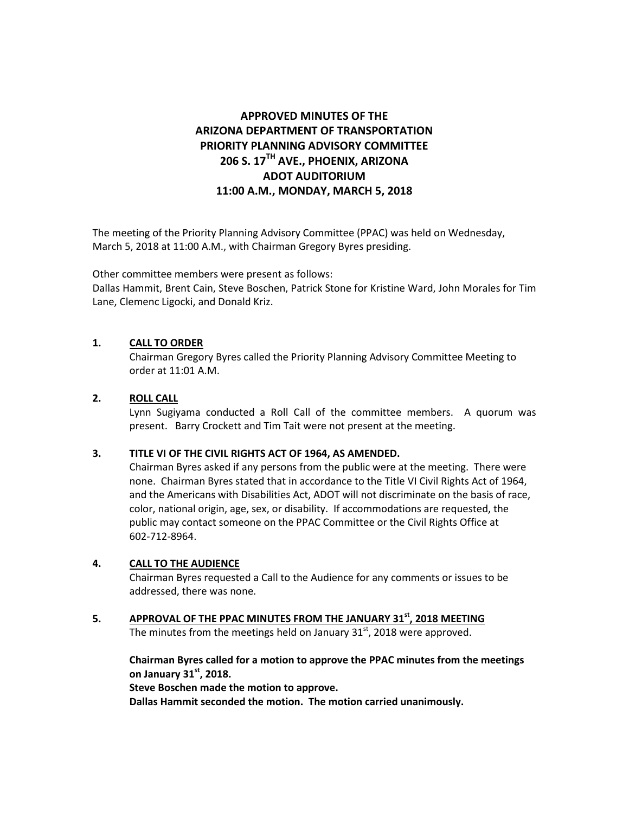# **APPROVED MINUTES OF THE ARIZONA DEPARTMENT OF TRANSPORTATION PRIORITY PLANNING ADVISORY COMMITTEE 206 S. 17TH AVE., PHOENIX, ARIZONA ADOT AUDITORIUM 11:00 A.M., MONDAY, MARCH 5, 2018**

The meeting of the Priority Planning Advisory Committee (PPAC) was held on Wednesday, March 5, 2018 at 11:00 A.M., with Chairman Gregory Byres presiding.

Other committee members were present as follows: Dallas Hammit, Brent Cain, Steve Boschen, Patrick Stone for Kristine Ward, John Morales for Tim Lane, Clemenc Ligocki, and Donald Kriz.

# **1. CALL TO ORDER**

Chairman Gregory Byres called the Priority Planning Advisory Committee Meeting to order at 11:01 A.M.

# **2. ROLL CALL**

Lynn Sugiyama conducted a Roll Call of the committee members. A quorum was present. Barry Crockett and Tim Tait were not present at the meeting.

# **3. TITLE VI OF THE CIVIL RIGHTS ACT OF 1964, AS AMENDED.**

Chairman Byres asked if any persons from the public were at the meeting. There were none. Chairman Byres stated that in accordance to the Title VI Civil Rights Act of 1964, and the Americans with Disabilities Act, ADOT will not discriminate on the basis of race, color, national origin, age, sex, or disability. If accommodations are requested, the public may contact someone on the PPAC Committee or the Civil Rights Office at 602-712-8964.

# **4. CALL TO THE AUDIENCE**

Chairman Byres requested a Call to the Audience for any comments or issues to be addressed, there was none.

**5. APPROVAL OF THE PPAC MINUTES FROM THE JANUARY 31st, 2018 MEETING** The minutes from the meetings held on January  $31<sup>st</sup>$ , 2018 were approved.

**Chairman Byres called for a motion to approve the PPAC minutes from the meetings on January 31st , 2018. Steve Boschen made the motion to approve.**

**Dallas Hammit seconded the motion. The motion carried unanimously.**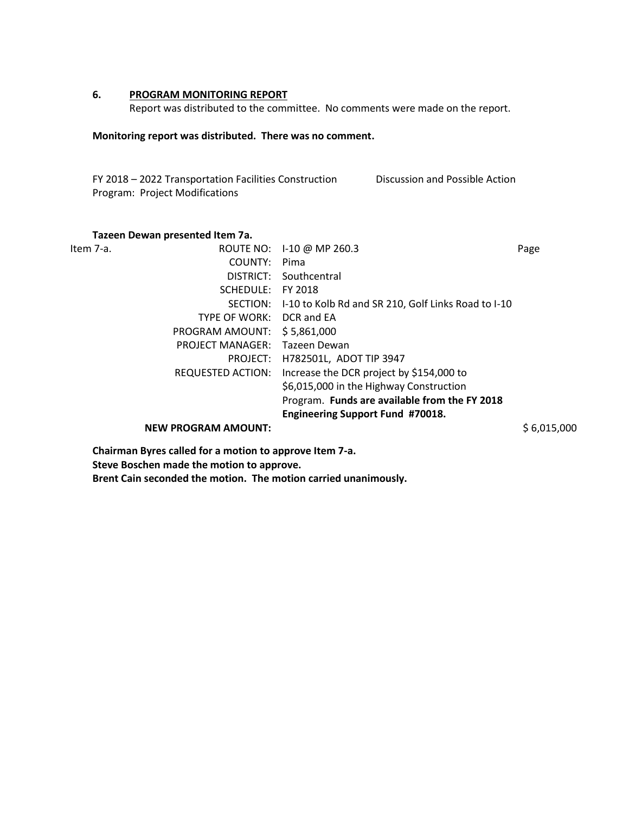# **6. PROGRAM MONITORING REPORT**

Report was distributed to the committee. No comments were made on the report.

## **Monitoring report was distributed. There was no comment.**

FY 2018 – 2022 Transportation Facilities Construction Program: Project Modifications Discussion and Possible Action

## **Tazeen Dewan presented Item 7a.**

|                            |                                               | Page                                                                             |
|----------------------------|-----------------------------------------------|----------------------------------------------------------------------------------|
| COUNTY:                    | Pima                                          |                                                                                  |
| DISTRICT:                  | Southcentral                                  |                                                                                  |
| SCHEDULE:                  | FY 2018                                       |                                                                                  |
| SECTION:                   |                                               |                                                                                  |
| <b>TYPE OF WORK:</b>       | DCR and EA                                    |                                                                                  |
| PROGRAM AMOUNT:            | \$5,861,000                                   |                                                                                  |
| <b>PROJECT MANAGER:</b>    | Tazeen Dewan                                  |                                                                                  |
| PROJECT:                   | H782501L, ADOT TIP 3947                       |                                                                                  |
| <b>REQUESTED ACTION:</b>   | Increase the DCR project by \$154,000 to      |                                                                                  |
|                            | \$6,015,000 in the Highway Construction       |                                                                                  |
|                            | Program. Funds are available from the FY 2018 |                                                                                  |
|                            | Engineering Support Fund #70018.              |                                                                                  |
| <b>NEW PROGRAM AMOUNT:</b> |                                               | \$6,015,000                                                                      |
|                            |                                               | ROUTE NO: 1-10 @ MP 260.3<br>I-10 to Kolb Rd and SR 210, Golf Links Road to I-10 |

**Chairman Byres called for a motion to approve Item 7-a. Steve Boschen made the motion to approve. Brent Cain seconded the motion. The motion carried unanimously.**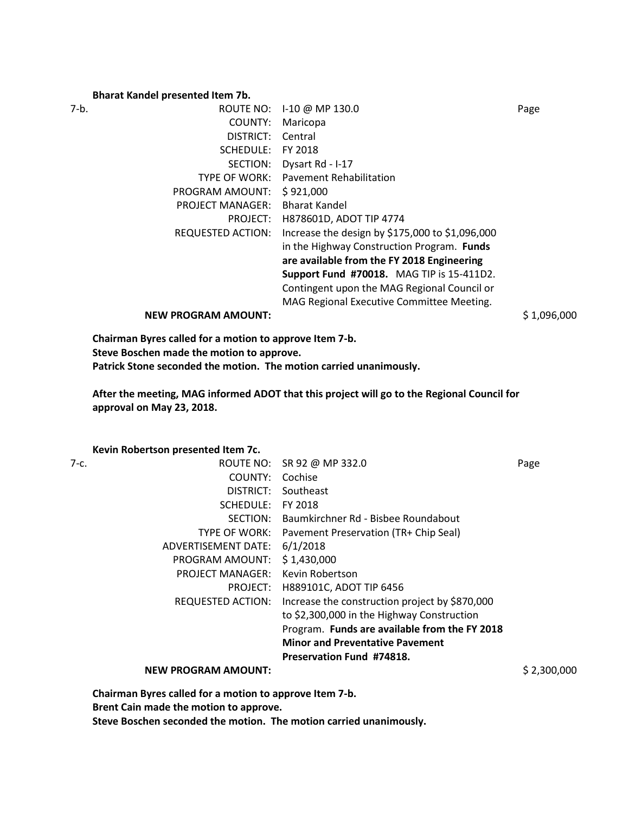## **Bharat Kandel presented Item 7b.**

| 7-b. | ROUTE NO:                  | I-10 @ MP 130.0                                 | Page        |
|------|----------------------------|-------------------------------------------------|-------------|
|      | COUNTY:                    | Maricopa                                        |             |
|      | DISTRICT:                  | Central                                         |             |
|      | SCHEDULE:                  | FY 2018                                         |             |
|      | SECTION:                   | Dysart Rd - I-17                                |             |
|      | TYPE OF WORK:              | <b>Pavement Rehabilitation</b>                  |             |
|      | PROGRAM AMOUNT:            | \$921,000                                       |             |
|      | <b>PROJECT MANAGER:</b>    | <b>Bharat Kandel</b>                            |             |
|      | PROJECT:                   | H878601D, ADOT TIP 4774                         |             |
|      | REQUESTED ACTION:          | Increase the design by \$175,000 to \$1,096,000 |             |
|      |                            | in the Highway Construction Program. Funds      |             |
|      |                            | are available from the FY 2018 Engineering      |             |
|      |                            | Support Fund #70018. MAG TIP is 15-411D2.       |             |
|      |                            | Contingent upon the MAG Regional Council or     |             |
|      |                            | MAG Regional Executive Committee Meeting.       |             |
|      | <b>NEW PROGRAM AMOUNT:</b> |                                                 | \$1,096,000 |

**Chairman Byres called for a motion to approve Item 7-b. Steve Boschen made the motion to approve. Patrick Stone seconded the motion. The motion carried unanimously.**

**After the meeting, MAG informed ADOT that this project will go to the Regional Council for approval on May 23, 2018.** 

## **Kevin Robertson presented Item 7c.**

| 7-с. |                            | ROUTE NO: SR 92 @ MP 332.0                     | Page        |
|------|----------------------------|------------------------------------------------|-------------|
|      | COUNTY:                    | Cochise                                        |             |
|      | DISTRICT:                  | Southeast                                      |             |
|      | SCHEDULE:                  | FY 2018                                        |             |
|      | SECTION:                   | Baumkirchner Rd - Bisbee Roundabout            |             |
|      | TYPE OF WORK:              | Pavement Preservation (TR+ Chip Seal)          |             |
|      | ADVERTISEMENT DATE:        | 6/1/2018                                       |             |
|      | PROGRAM AMOUNT:            | \$1,430,000                                    |             |
|      | <b>PROJECT MANAGER:</b>    | Kevin Robertson                                |             |
|      | PROJECT:                   | H889101C, ADOT TIP 6456                        |             |
|      | REQUESTED ACTION:          | Increase the construction project by \$870,000 |             |
|      |                            | to \$2,300,000 in the Highway Construction     |             |
|      |                            | Program. Funds are available from the FY 2018  |             |
|      |                            | <b>Minor and Preventative Pavement</b>         |             |
|      |                            | Preservation Fund #74818.                      |             |
|      | <b>NEW PROGRAM AMOUNT:</b> |                                                | \$2,300,000 |
|      |                            |                                                |             |

**Chairman Byres called for a motion to approve Item 7-b.** 

**Brent Cain made the motion to approve.**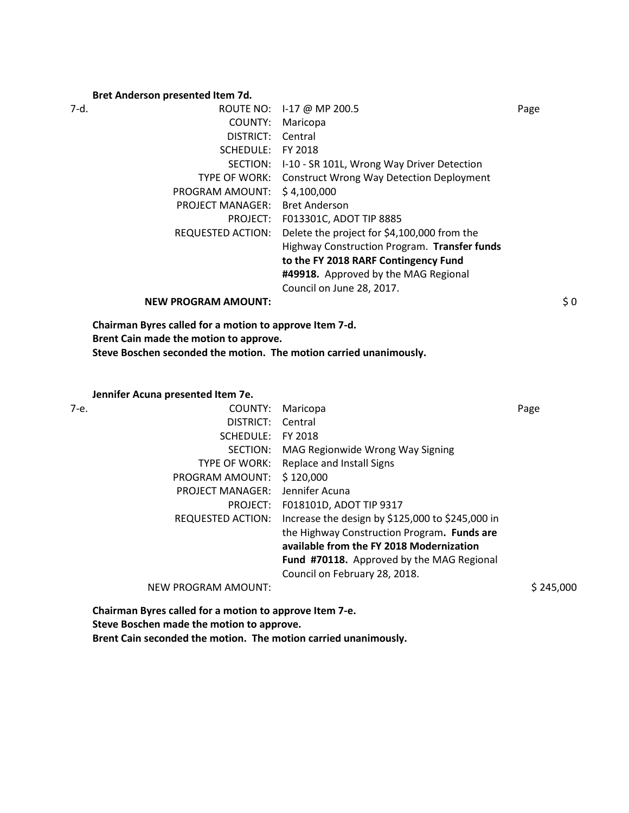## **Bret Anderson presented Item 7d.**

| 7-d. |                            | ROUTE NO: 1-17 @ MP 200.5                       | Page |
|------|----------------------------|-------------------------------------------------|------|
|      | COUNTY:                    | Maricopa                                        |      |
|      | DISTRICT:                  | Central                                         |      |
|      | SCHEDULE:                  | FY 2018                                         |      |
|      | SECTION:                   | I-10 - SR 101L, Wrong Way Driver Detection      |      |
|      | <b>TYPE OF WORK:</b>       | <b>Construct Wrong Way Detection Deployment</b> |      |
|      | PROGRAM AMOUNT:            | \$4,100,000                                     |      |
|      | <b>PROJECT MANAGER:</b>    | <b>Bret Anderson</b>                            |      |
|      | PROJECT:                   | F013301C, ADOT TIP 8885                         |      |
|      | REQUESTED ACTION:          | Delete the project for \$4,100,000 from the     |      |
|      |                            | Highway Construction Program. Transfer funds    |      |
|      |                            | to the FY 2018 RARF Contingency Fund            |      |
|      |                            | #49918. Approved by the MAG Regional            |      |
|      |                            | Council on June 28, 2017.                       |      |
|      | <b>NEW PROGRAM AMOUNT:</b> |                                                 | \$0  |

**Chairman Byres called for a motion to approve Item 7-d. Brent Cain made the motion to approve. Steve Boschen seconded the motion. The motion carried unanimously.**

**Jennifer Acuna presented Item 7e.**

7-e. COUNTY: Maricopa Page DISTRICT: Central SCHEDULE: FY 2018 SECTION: MAG Regionwide Wrong Way Signing TYPE OF WORK: Replace and Install Signs PROGRAM AMOUNT: \$ 120,000 PROJECT MANAGER: Jennifer Acuna PROJECT: F018101D, ADOT TIP 9317 REQUESTED ACTION: Increase the design by \$125,000 to \$245,000 in the Highway Construction Program**. Funds are available from the FY 2018 Modernization Fund #70118.** Approved by the MAG Regional Council on February 28, 2018. NEW PROGRAM AMOUNT:  $$245,000$ 

**Chairman Byres called for a motion to approve Item 7-e. Steve Boschen made the motion to approve. Brent Cain seconded the motion. The motion carried unanimously.**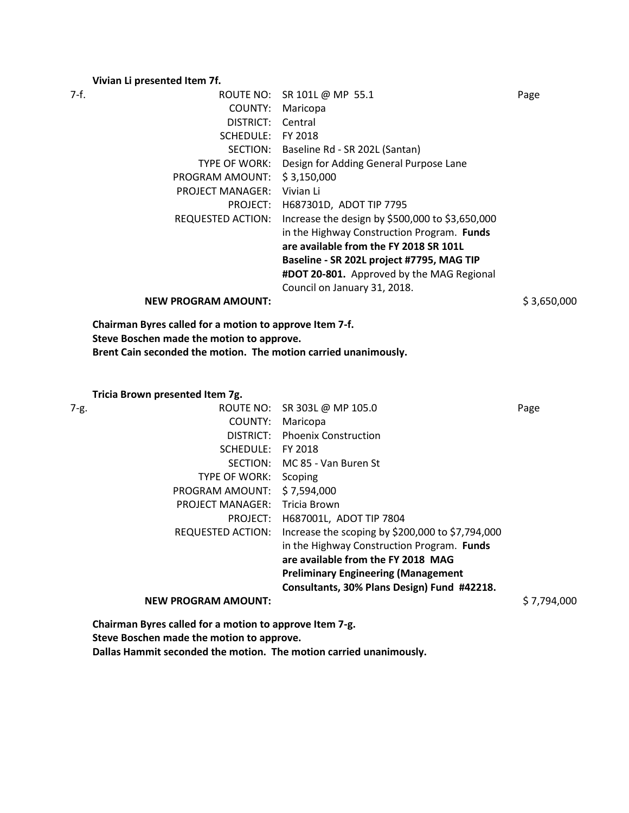# **Vivian Li presented Item 7f.**

| 7-f. |                            | ROUTE NO: SR 101L @ MP 55.1                     | Page        |
|------|----------------------------|-------------------------------------------------|-------------|
|      | COUNTY:                    | Maricopa                                        |             |
|      | DISTRICT:                  | Central                                         |             |
|      | SCHEDULE:                  | FY 2018                                         |             |
|      | SECTION:                   | Baseline Rd - SR 202L (Santan)                  |             |
|      | TYPE OF WORK:              | Design for Adding General Purpose Lane          |             |
|      | PROGRAM AMOUNT:            | \$3,150,000                                     |             |
|      | <b>PROJECT MANAGER:</b>    | Vivian Li                                       |             |
|      | PROJECT:                   | H687301D, ADOT TIP 7795                         |             |
|      | <b>REQUESTED ACTION:</b>   | Increase the design by \$500,000 to \$3,650,000 |             |
|      |                            | in the Highway Construction Program. Funds      |             |
|      |                            | are available from the FY 2018 SR 101L          |             |
|      |                            | Baseline - SR 202L project #7795, MAG TIP       |             |
|      |                            | #DOT 20-801. Approved by the MAG Regional       |             |
|      |                            | Council on January 31, 2018.                    |             |
|      | <b>NEW PROGRAM AMOUNT:</b> |                                                 | \$3,650,000 |

**Chairman Byres called for a motion to approve Item 7-f. Steve Boschen made the motion to approve. Brent Cain seconded the motion. The motion carried unanimously.**

**Tricia Brown presented Item 7g.**

| 7-g. |                            | ROUTE NO: SR 303L @ MP 105.0                     | Page        |
|------|----------------------------|--------------------------------------------------|-------------|
|      | COUNTY:                    | Maricopa                                         |             |
|      | DISTRICT:                  | <b>Phoenix Construction</b>                      |             |
|      | SCHEDULE:                  | FY 2018                                          |             |
|      | SECTION:                   | MC 85 - Van Buren St                             |             |
|      | TYPE OF WORK:              | Scoping                                          |             |
|      | PROGRAM AMOUNT:            | \$7,594,000                                      |             |
|      | <b>PROJECT MANAGER:</b>    | <b>Tricia Brown</b>                              |             |
|      |                            | PROJECT: H687001L, ADOT TIP 7804                 |             |
|      | <b>REQUESTED ACTION:</b>   | Increase the scoping by \$200,000 to \$7,794,000 |             |
|      |                            | in the Highway Construction Program. Funds       |             |
|      |                            | are available from the FY 2018 MAG               |             |
|      |                            | <b>Preliminary Engineering (Management</b>       |             |
|      |                            | Consultants, 30% Plans Design) Fund #42218.      |             |
|      | <b>NEW PROGRAM AMOUNT:</b> |                                                  | \$7,794,000 |
|      |                            |                                                  |             |

**Chairman Byres called for a motion to approve Item 7-g. Steve Boschen made the motion to approve.**

**Dallas Hammit seconded the motion. The motion carried unanimously.**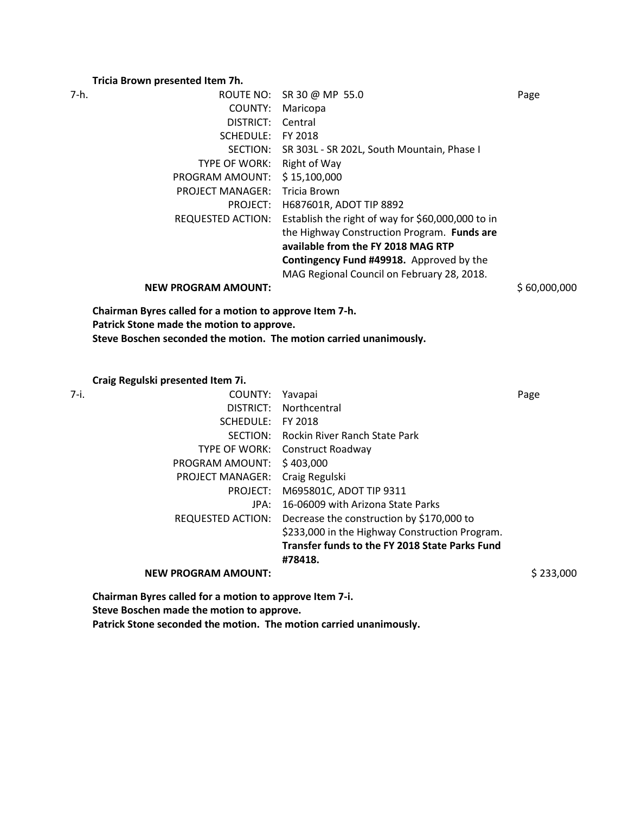#### **Tricia Brown presented Item 7h.**

7-h. ROUTE NO: SR 30 @ MP 55.0 Page COUNTY: Maricopa DISTRICT: Central SCHEDULE: FY 2018 SECTION: SR 303L - SR 202L, South Mountain, Phase I TYPE OF WORK: Right of Way PROGRAM AMOUNT: \$ 15,100,000 PROJECT MANAGER: Tricia Brown PROJECT: H687601R, ADOT TIP 8892 REQUESTED ACTION: Establish the right of way for \$60,000,000 to in the Highway Construction Program. **Funds are available from the FY 2018 MAG RTP Contingency Fund #49918.** Approved by the MAG Regional Council on February 28, 2018. **NEW PROGRAM AMOUNT:**  $$60,000,000$ **Chairman Byres called for a motion to approve Item 7-h. Patrick Stone made the motion to approve. Steve Boschen seconded the motion. The motion carried unanimously.**

**Craig Regulski presented Item 7i.**

| 7-i.                       | COUNTY:   | Yavapai                                        | Page      |
|----------------------------|-----------|------------------------------------------------|-----------|
|                            | DISTRICT: | Northcentral                                   |           |
| SCHEDULE:                  |           | FY 2018                                        |           |
|                            | SECTION:  | Rockin River Ranch State Park                  |           |
| TYPE OF WORK:              |           | Construct Roadway                              |           |
| PROGRAM AMOUNT:            |           | \$403,000                                      |           |
| <b>PROJECT MANAGER:</b>    |           | Craig Regulski                                 |           |
|                            | PROJECT:  | M695801C, ADOT TIP 9311                        |           |
|                            | JPA:      | 16-06009 with Arizona State Parks              |           |
| <b>REQUESTED ACTION:</b>   |           | Decrease the construction by \$170,000 to      |           |
|                            |           | \$233,000 in the Highway Construction Program. |           |
|                            |           | Transfer funds to the FY 2018 State Parks Fund |           |
|                            |           | #78418.                                        |           |
| <b>NEW PROGRAM AMOUNT:</b> |           |                                                | \$233,000 |

**Chairman Byres called for a motion to approve Item 7-i. Steve Boschen made the motion to approve. Patrick Stone seconded the motion. The motion carried unanimously.**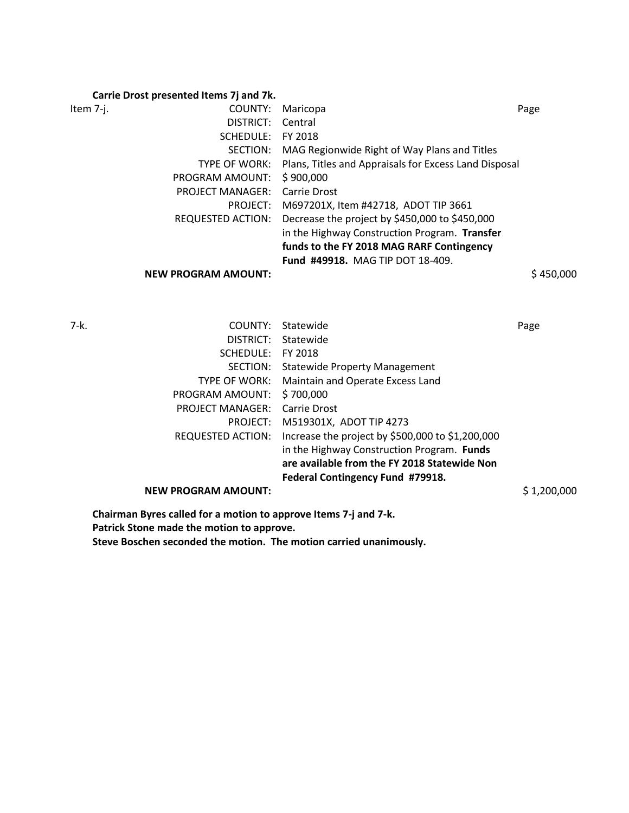# **Carrie Drost presented Items 7j and 7k.**

| Item 7-j. | COUNTY:                 | Maricopa                                                            | Page |
|-----------|-------------------------|---------------------------------------------------------------------|------|
|           | DISTRICT: Central       |                                                                     |      |
|           | SCHEDULE:               | FY 2018                                                             |      |
|           |                         | SECTION: MAG Regionwide Right of Way Plans and Titles               |      |
|           |                         | TYPE OF WORK: Plans, Titles and Appraisals for Excess Land Disposal |      |
|           | PROGRAM AMOUNT:         | \$900,000                                                           |      |
|           | <b>PROJECT MANAGER:</b> | Carrie Drost                                                        |      |
|           | PROJECT:                | M697201X, Item #42718, ADOT TIP 3661                                |      |
|           |                         | REQUESTED ACTION: Decrease the project by \$450,000 to \$450,000    |      |
|           |                         | in the Highway Construction Program. Transfer                       |      |
|           |                         | funds to the FY 2018 MAG RARF Contingency                           |      |
|           |                         | Fund #49918. MAG TIP DOT 18-409.                                    |      |

**NEW PROGRAM AMOUNT:**  $\frac{1}{2}$  450,000

| 7-k. | COUNTY:                    | Statewide                                        | Page        |
|------|----------------------------|--------------------------------------------------|-------------|
|      | DISTRICT:                  | Statewide                                        |             |
|      | SCHEDULE:                  | FY 2018                                          |             |
|      | SECTION:                   | <b>Statewide Property Management</b>             |             |
|      | TYPE OF WORK:              | Maintain and Operate Excess Land                 |             |
|      | PROGRAM AMOUNT:            | \$700,000                                        |             |
|      | <b>PROJECT MANAGER:</b>    | Carrie Drost                                     |             |
|      | PROJECT:                   | M519301X, ADOT TIP 4273                          |             |
|      | REQUESTED ACTION:          | Increase the project by \$500,000 to \$1,200,000 |             |
|      |                            | in the Highway Construction Program. Funds       |             |
|      |                            | are available from the FY 2018 Statewide Non     |             |
|      |                            | Federal Contingency Fund #79918.                 |             |
|      | <b>NEW PROGRAM AMOUNT:</b> |                                                  | \$1,200,000 |
|      |                            |                                                  |             |

**Chairman Byres called for a motion to approve Items 7-j and 7-k. Patrick Stone made the motion to approve.**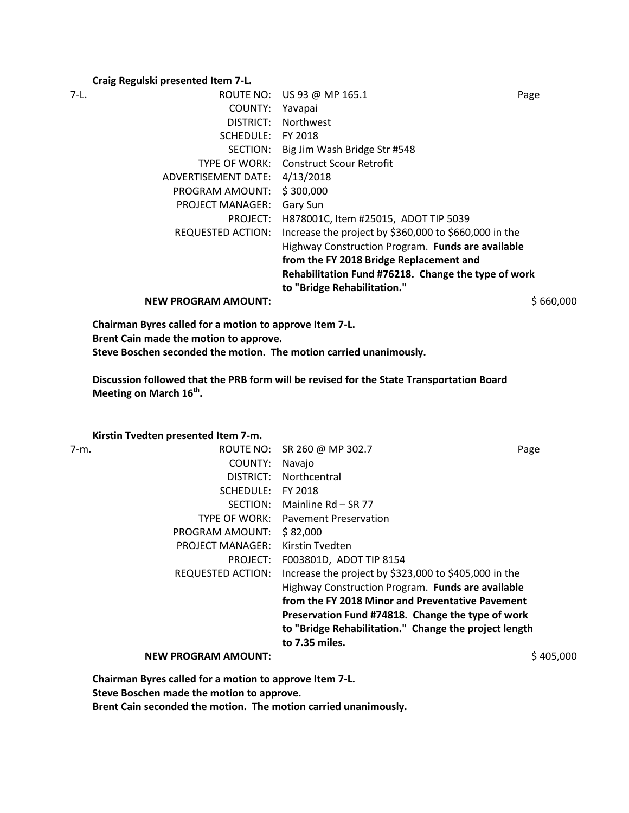## **Craig Regulski presented Item 7-L.**

| 7-L. | ROUTE NO:                  | US 93 @ MP 165.1                                      | Page      |
|------|----------------------------|-------------------------------------------------------|-----------|
|      | COUNTY:                    | Yavapai                                               |           |
|      | DISTRICT:                  | <b>Northwest</b>                                      |           |
|      | SCHEDULE:                  | FY 2018                                               |           |
|      | SECTION:                   | Big Jim Wash Bridge Str #548                          |           |
|      | TYPE OF WORK:              | <b>Construct Scour Retrofit</b>                       |           |
|      | ADVERTISEMENT DATE:        | 4/13/2018                                             |           |
|      | PROGRAM AMOUNT:            | \$300,000                                             |           |
|      | <b>PROJECT MANAGER:</b>    | Gary Sun                                              |           |
|      | PROJECT:                   | H878001C, Item #25015, ADOT TIP 5039                  |           |
|      | <b>REQUESTED ACTION:</b>   | Increase the project by \$360,000 to \$660,000 in the |           |
|      |                            | Highway Construction Program. Funds are available     |           |
|      |                            | from the FY 2018 Bridge Replacement and               |           |
|      |                            | Rehabilitation Fund #76218. Change the type of work   |           |
|      |                            | to "Bridge Rehabilitation."                           |           |
|      | <b>NEW PROGRAM AMOUNT:</b> |                                                       | \$660,000 |

**Chairman Byres called for a motion to approve Item 7-L. Brent Cain made the motion to approve. Steve Boschen seconded the motion. The motion carried unanimously.**

**Discussion followed that the PRB form will be revised for the State Transportation Board Meeting on March 16th .** 

**Kirstin Tvedten presented Item 7-m.**

| 7-m. |                            | ROUTE NO: SR 260 @ MP 302.7                           | Page      |
|------|----------------------------|-------------------------------------------------------|-----------|
|      | COUNTY:                    | Navajo                                                |           |
|      | DISTRICT:                  | Northcentral                                          |           |
|      | SCHEDULE:                  | FY 2018                                               |           |
|      | SECTION:                   | Mainline Rd - SR 77                                   |           |
|      | TYPE OF WORK:              | <b>Pavement Preservation</b>                          |           |
|      | PROGRAM AMOUNT:            | \$82,000                                              |           |
|      | <b>PROJECT MANAGER:</b>    | Kirstin Tvedten                                       |           |
|      | PROJECT:                   | F003801D, ADOT TIP 8154                               |           |
|      | REQUESTED ACTION:          | Increase the project by \$323,000 to \$405,000 in the |           |
|      |                            | Highway Construction Program. Funds are available     |           |
|      |                            | from the FY 2018 Minor and Preventative Pavement      |           |
|      |                            | Preservation Fund #74818. Change the type of work     |           |
|      |                            | to "Bridge Rehabilitation." Change the project length |           |
|      |                            | to 7.35 miles.                                        |           |
|      | <b>NEW PROGRAM AMOUNT:</b> |                                                       | \$405,000 |

**Chairman Byres called for a motion to approve Item 7-L.** 

**Steve Boschen made the motion to approve.**

**Brent Cain seconded the motion. The motion carried unanimously.**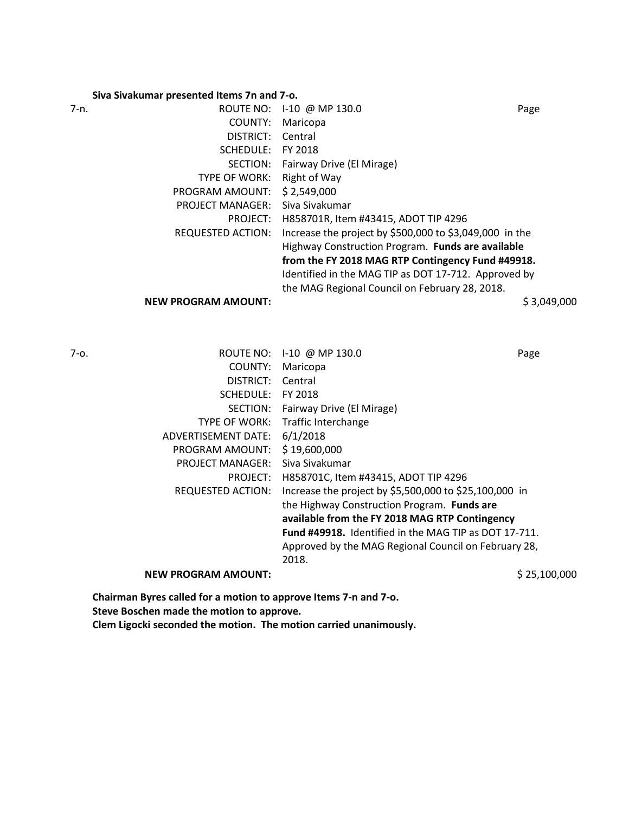# **Siva Sivakumar presented Items 7n and 7-o.**

|      | <u>siva sivanamar presentea items 7 mana 7 or</u> |                                                         |             |
|------|---------------------------------------------------|---------------------------------------------------------|-------------|
| 7-n. | ROUTE NO:                                         | 1-10 @ MP 130.0                                         | Page        |
|      | COUNTY:                                           | Maricopa                                                |             |
|      | DISTRICT:                                         | Central                                                 |             |
|      | SCHEDULE:                                         | FY 2018                                                 |             |
|      | SECTION:                                          | Fairway Drive (El Mirage)                               |             |
|      | TYPE OF WORK:                                     | Right of Way                                            |             |
|      | PROGRAM AMOUNT:                                   | \$2,549,000                                             |             |
|      | <b>PROJECT MANAGER:</b>                           | Siva Sivakumar                                          |             |
|      | PROJECT:                                          | H858701R, Item #43415, ADOT TIP 4296                    |             |
|      | <b>REQUESTED ACTION:</b>                          | Increase the project by \$500,000 to \$3,049,000 in the |             |
|      |                                                   | Highway Construction Program. Funds are available       |             |
|      |                                                   | from the FY 2018 MAG RTP Contingency Fund #49918.       |             |
|      |                                                   | Identified in the MAG TIP as DOT 17-712. Approved by    |             |
|      |                                                   | the MAG Regional Council on February 28, 2018.          |             |
|      | <b>NEW PROGRAM AMOUNT:</b>                        |                                                         | \$3,049,000 |
|      |                                                   |                                                         |             |

| ROUTE NO:                  | $1-10$ @ MP 130.0                           | Page                                                                                                                                                                                                                             |
|----------------------------|---------------------------------------------|----------------------------------------------------------------------------------------------------------------------------------------------------------------------------------------------------------------------------------|
| COUNTY:                    | Maricopa                                    |                                                                                                                                                                                                                                  |
| DISTRICT:                  | Central                                     |                                                                                                                                                                                                                                  |
| SCHEDULE:                  | FY 2018                                     |                                                                                                                                                                                                                                  |
| SECTION:                   | Fairway Drive (El Mirage)                   |                                                                                                                                                                                                                                  |
| <b>TYPE OF WORK:</b>       | Traffic Interchange                         |                                                                                                                                                                                                                                  |
| ADVERTISEMENT DATE:        | 6/1/2018                                    |                                                                                                                                                                                                                                  |
| PROGRAM AMOUNT:            | \$19,600,000                                |                                                                                                                                                                                                                                  |
| <b>PROJECT MANAGER:</b>    | Siva Sivakumar                              |                                                                                                                                                                                                                                  |
| PROJECT:                   | H858701C, Item #43415, ADOT TIP 4296        |                                                                                                                                                                                                                                  |
| REQUESTED ACTION:          |                                             |                                                                                                                                                                                                                                  |
|                            | the Highway Construction Program. Funds are |                                                                                                                                                                                                                                  |
|                            |                                             |                                                                                                                                                                                                                                  |
|                            |                                             |                                                                                                                                                                                                                                  |
|                            | 2018.                                       |                                                                                                                                                                                                                                  |
| <b>NEW PROGRAM AMOUNT:</b> |                                             | \$25,100,000                                                                                                                                                                                                                     |
|                            |                                             | Increase the project by \$5,500,000 to \$25,100,000 in<br>available from the FY 2018 MAG RTP Contingency<br><b>Fund #49918.</b> Identified in the MAG TIP as DOT 17-711.<br>Approved by the MAG Regional Council on February 28, |

**Chairman Byres called for a motion to approve Items 7-n and 7-o. Steve Boschen made the motion to approve. Clem Ligocki seconded the motion. The motion carried unanimously.**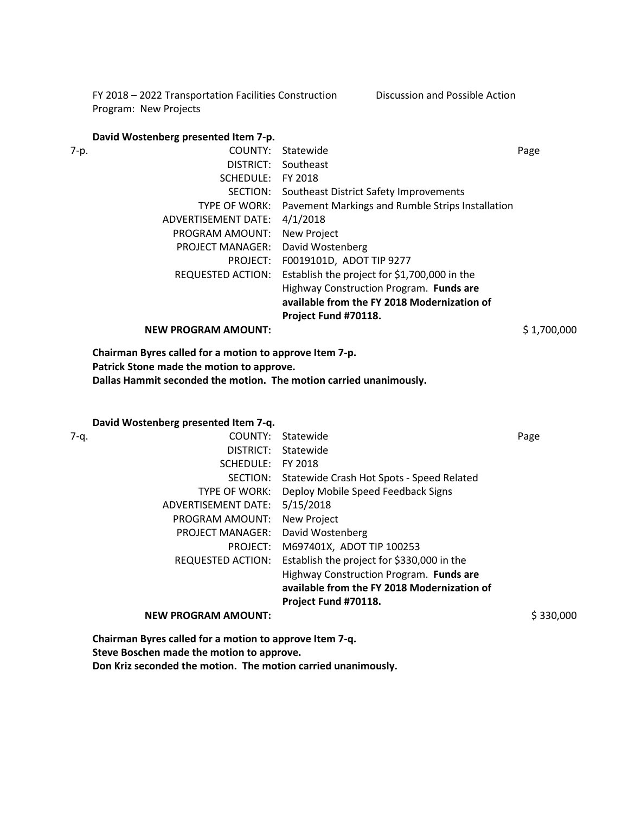FY 2018 – 2022 Transportation Facilities Construction Program: New Projects Discussion and Possible Action

## **David Wostenberg presented Item 7-p.**

**NEW PROGRAM AMOUNT:**  $$ 1,700,000$ 

**Chairman Byres called for a motion to approve Item 7-p. Patrick Stone made the motion to approve. Dallas Hammit seconded the motion. The motion carried unanimously.**

# **David Wostenberg presented Item 7-q.**

| 7-q. | COUNTY:                    | Statewide                                   | Page      |
|------|----------------------------|---------------------------------------------|-----------|
|      | DISTRICT:                  | Statewide                                   |           |
|      | SCHEDULE:                  | FY 2018                                     |           |
|      | SECTION:                   | Statewide Crash Hot Spots - Speed Related   |           |
|      | <b>TYPE OF WORK:</b>       | Deploy Mobile Speed Feedback Signs          |           |
|      | ADVERTISEMENT DATE:        | 5/15/2018                                   |           |
|      | PROGRAM AMOUNT:            | <b>New Project</b>                          |           |
|      | <b>PROJECT MANAGER:</b>    | David Wostenberg                            |           |
|      | PROJECT:                   | M697401X, ADOT TIP 100253                   |           |
|      | <b>REQUESTED ACTION:</b>   | Establish the project for \$330,000 in the  |           |
|      |                            | Highway Construction Program. Funds are     |           |
|      |                            | available from the FY 2018 Modernization of |           |
|      |                            | Project Fund #70118.                        |           |
|      | <b>NEW PROGRAM AMOUNT:</b> |                                             | \$330,000 |
|      |                            |                                             |           |

**Chairman Byres called for a motion to approve Item 7-q. Steve Boschen made the motion to approve. Don Kriz seconded the motion. The motion carried unanimously.**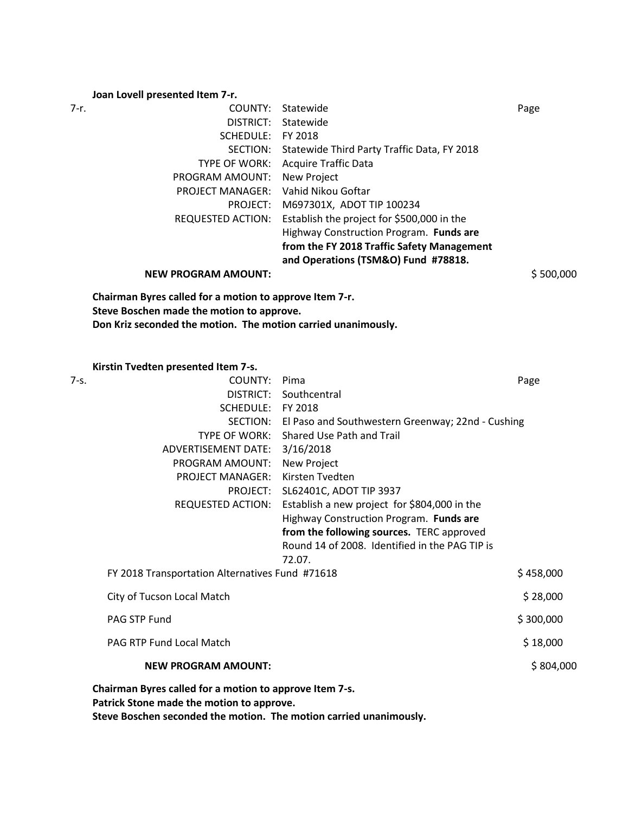# **Joan Lovell presented Item 7-r.**

| 7-r. | COUNTY:                 | Statewide                                            | Page |
|------|-------------------------|------------------------------------------------------|------|
|      | DISTRICT:               | Statewide                                            |      |
|      | SCHEDULE:               | FY 2018                                              |      |
|      |                         | SECTION: Statewide Third Party Traffic Data, FY 2018 |      |
|      | TYPE OF WORK:           | Acquire Traffic Data                                 |      |
|      | PROGRAM AMOUNT:         | <b>New Project</b>                                   |      |
|      | <b>PROJECT MANAGER:</b> | Vahid Nikou Goftar                                   |      |
|      | PROJECT:                | M697301X, ADOT TIP 100234                            |      |
|      | REQUESTED ACTION:       | Establish the project for \$500,000 in the           |      |
|      |                         | Highway Construction Program. Funds are              |      |
|      |                         | from the FY 2018 Traffic Safety Management           |      |
|      |                         | and Operations (TSM&O) Fund #78818.                  |      |
|      |                         |                                                      |      |

**NEW PROGRAM AMOUNT:**  $\frac{5}{500,000}$ 

**Chairman Byres called for a motion to approve Item 7-r. Steve Boschen made the motion to approve. Don Kriz seconded the motion. The motion carried unanimously.**

**Kirstin Tvedten presented Item 7-s.**

| COUNTY:<br>7-s.                                                                                      | Pima                                              | Page      |
|------------------------------------------------------------------------------------------------------|---------------------------------------------------|-----------|
| <b>DISTRICT:</b>                                                                                     | Southcentral                                      |           |
|                                                                                                      | SCHEDULE: FY 2018                                 |           |
| SECTION:                                                                                             | El Paso and Southwestern Greenway; 22nd - Cushing |           |
| <b>TYPE OF WORK:</b>                                                                                 | Shared Use Path and Trail                         |           |
| <b>ADVERTISEMENT DATE:</b>                                                                           | 3/16/2018                                         |           |
| PROGRAM AMOUNT:                                                                                      | New Project                                       |           |
| <b>PROJECT MANAGER:</b>                                                                              | Kirsten Tvedten                                   |           |
| PROJECT:                                                                                             | SL62401C, ADOT TIP 3937                           |           |
| <b>REQUESTED ACTION:</b>                                                                             | Establish a new project for \$804,000 in the      |           |
|                                                                                                      | Highway Construction Program. Funds are           |           |
|                                                                                                      | from the following sources. TERC approved         |           |
|                                                                                                      | Round 14 of 2008. Identified in the PAG TIP is    |           |
|                                                                                                      | 72.07.                                            |           |
| FY 2018 Transportation Alternatives Fund #71618                                                      |                                                   | \$458,000 |
| City of Tucson Local Match                                                                           |                                                   | \$28,000  |
| PAG STP Fund                                                                                         |                                                   | \$300,000 |
| <b>PAG RTP Fund Local Match</b>                                                                      |                                                   | \$18,000  |
| <b>NEW PROGRAM AMOUNT:</b>                                                                           |                                                   | \$804,000 |
| Chairman Byres called for a motion to approve Item 7-s.<br>Patrick Stone made the motion to approve. |                                                   |           |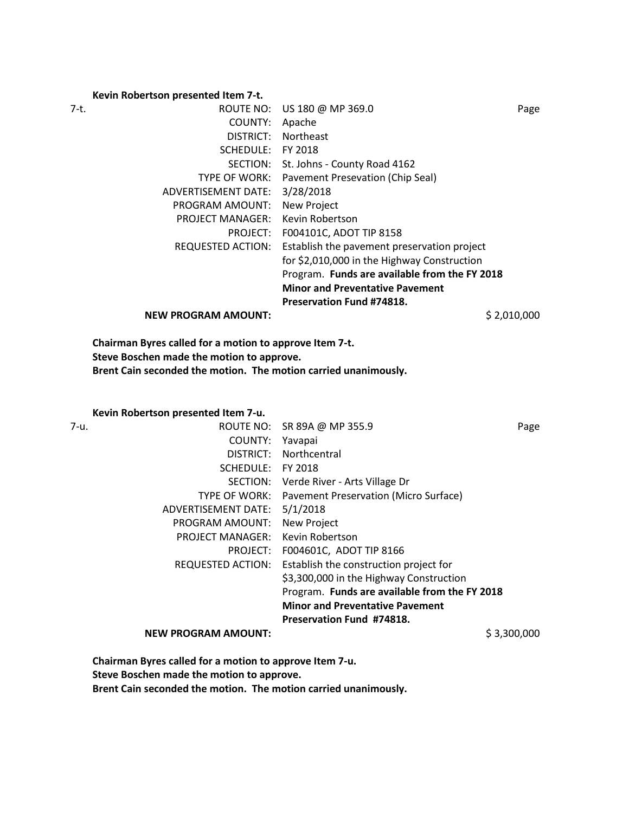## **Kevin Robertson presented Item 7-t.**

| 7-t. |                            | ROUTE NO: US 180 @ MP 369.0                   | Page        |
|------|----------------------------|-----------------------------------------------|-------------|
|      | COUNTY:                    | Apache                                        |             |
|      | DISTRICT:                  | <b>Northeast</b>                              |             |
|      | <b>SCHEDULE:</b>           | FY 2018                                       |             |
|      |                            | SECTION: St. Johns - County Road 4162         |             |
|      | <b>TYPE OF WORK:</b>       | Pavement Presevation (Chip Seal)              |             |
|      | ADVERTISEMENT DATE:        | 3/28/2018                                     |             |
|      | PROGRAM AMOUNT:            | <b>New Project</b>                            |             |
|      | <b>PROJECT MANAGER:</b>    | Kevin Robertson                               |             |
|      | PROJECT:                   | F004101C, ADOT TIP 8158                       |             |
|      | REQUESTED ACTION:          | Establish the pavement preservation project   |             |
|      |                            | for \$2,010,000 in the Highway Construction   |             |
|      |                            | Program. Funds are available from the FY 2018 |             |
|      |                            | <b>Minor and Preventative Pavement</b>        |             |
|      |                            | <b>Preservation Fund #74818.</b>              |             |
|      | <b>NEW PROGRAM AMOUNT:</b> |                                               | \$2,010,000 |

**Chairman Byres called for a motion to approve Item 7-t. Steve Boschen made the motion to approve. Brent Cain seconded the motion. The motion carried unanimously.**

**Kevin Robertson presented Item 7-u.**

| 7-u. |                            | ROUTE NO: SR 89A @ MP 355.9                   | Page        |
|------|----------------------------|-----------------------------------------------|-------------|
|      | COUNTY:                    | Yavapai                                       |             |
|      | DISTRICT:                  | Northcentral                                  |             |
|      | SCHEDULE: FY 2018          |                                               |             |
|      |                            | SECTION: Verde River - Arts Village Dr        |             |
|      | <b>TYPE OF WORK:</b>       | Pavement Preservation (Micro Surface)         |             |
|      | ADVERTISEMENT DATE:        | 5/1/2018                                      |             |
|      | PROGRAM AMOUNT:            | <b>New Project</b>                            |             |
|      | <b>PROJECT MANAGER:</b>    | Kevin Robertson                               |             |
|      | PROJECT:                   | F004601C, ADOT TIP 8166                       |             |
|      | REQUESTED ACTION:          | Establish the construction project for        |             |
|      |                            | \$3,300,000 in the Highway Construction       |             |
|      |                            | Program. Funds are available from the FY 2018 |             |
|      |                            | <b>Minor and Preventative Pavement</b>        |             |
|      |                            | Preservation Fund #74818.                     |             |
|      | <b>NEW PROGRAM AMOUNT:</b> |                                               | \$3,300,000 |

**Chairman Byres called for a motion to approve Item 7-u. Steve Boschen made the motion to approve. Brent Cain seconded the motion. The motion carried unanimously.**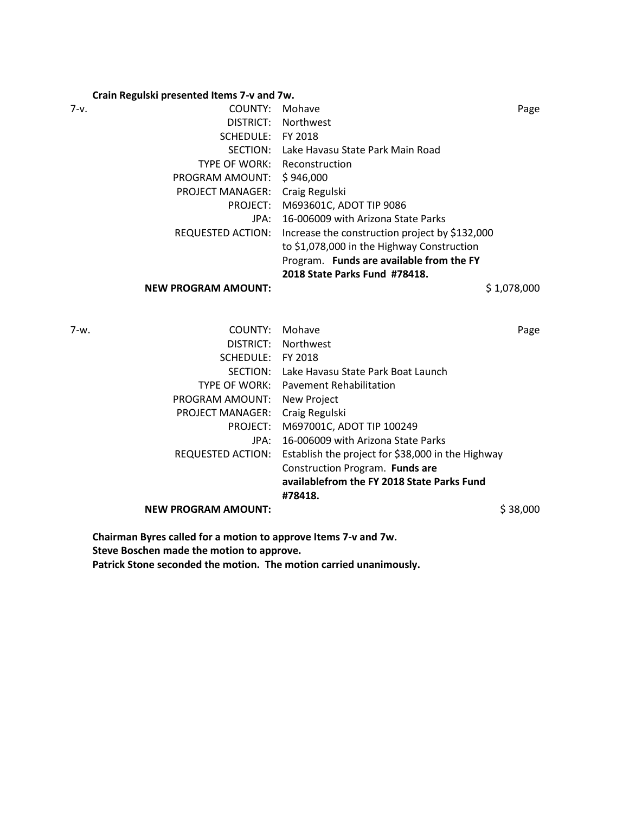# **Crain Regulski presented Items 7-v and 7w.**

| 7-v. | COUNTY:                             | Mohave                                         | Page        |
|------|-------------------------------------|------------------------------------------------|-------------|
|      |                                     | DISTRICT: Northwest                            |             |
|      | SCHEDULE:                           | FY 2018                                        |             |
|      |                                     | SECTION: Lake Havasu State Park Main Road      |             |
|      | <b>TYPE OF WORK: Reconstruction</b> |                                                |             |
|      | PROGRAM AMOUNT: \$946,000           |                                                |             |
|      | PROJECT MANAGER:                    | Craig Regulski                                 |             |
|      | PROJECT:                            | M693601C, ADOT TIP 9086                        |             |
|      | JPA:                                | 16-006009 with Arizona State Parks             |             |
|      | REQUESTED ACTION:                   | Increase the construction project by \$132,000 |             |
|      |                                     | to \$1,078,000 in the Highway Construction     |             |
|      |                                     | Program. Funds are available from the FY       |             |
|      |                                     | 2018 State Parks Fund #78418.                  |             |
|      | <b>NEW PROGRAM AMOUNT:</b>          |                                                | \$1,078,000 |

| 7-w. | COUNTY:                     | Mohave                                            |          |
|------|-----------------------------|---------------------------------------------------|----------|
|      |                             |                                                   | Page     |
|      | DISTRICT:                   | <b>Northwest</b>                                  |          |
|      | SCHEDULE:                   | FY 2018                                           |          |
|      |                             | SECTION: Lake Havasu State Park Boat Launch       |          |
|      |                             | TYPE OF WORK: Pavement Rehabilitation             |          |
|      | PROGRAM AMOUNT: New Project |                                                   |          |
|      | PROJECT MANAGER:            | Craig Regulski                                    |          |
|      | PROJECT:                    | M697001C, ADOT TIP 100249                         |          |
|      | JPA:                        | 16-006009 with Arizona State Parks                |          |
|      | REQUESTED ACTION:           | Establish the project for \$38,000 in the Highway |          |
|      |                             | Construction Program. Funds are                   |          |
|      |                             | availablefrom the FY 2018 State Parks Fund        |          |
|      |                             | #78418.                                           |          |
|      | <b>NEW PROGRAM AMOUNT:</b>  |                                                   | \$38,000 |

**Chairman Byres called for a motion to approve Items 7-v and 7w. Steve Boschen made the motion to approve. Patrick Stone seconded the motion. The motion carried unanimously.**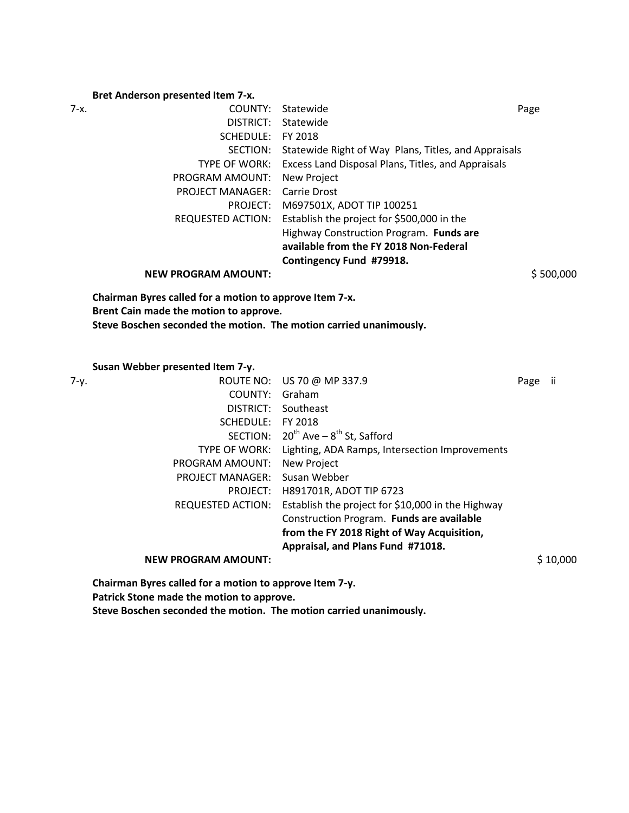# **Bret Anderson presented Item 7-x.**

| 7-x. |                                                                    | COUNTY: Statewide                                    | Page    |           |
|------|--------------------------------------------------------------------|------------------------------------------------------|---------|-----------|
|      | DISTRICT:                                                          | Statewide                                            |         |           |
|      | SCHEDULE: FY 2018                                                  |                                                      |         |           |
|      | SECTION:                                                           | Statewide Right of Way Plans, Titles, and Appraisals |         |           |
|      | TYPE OF WORK:                                                      | Excess Land Disposal Plans, Titles, and Appraisals   |         |           |
|      | PROGRAM AMOUNT:                                                    | New Project                                          |         |           |
|      | PROJECT MANAGER:                                                   | <b>Carrie Drost</b>                                  |         |           |
|      | PROJECT:                                                           | M697501X, ADOT TIP 100251                            |         |           |
|      | <b>REQUESTED ACTION:</b>                                           | Establish the project for \$500,000 in the           |         |           |
|      |                                                                    | Highway Construction Program. Funds are              |         |           |
|      |                                                                    | available from the FY 2018 Non-Federal               |         |           |
|      |                                                                    | Contingency Fund #79918.                             |         |           |
|      | <b>NEW PROGRAM AMOUNT:</b>                                         |                                                      |         | \$500,000 |
|      | Steve Boschen seconded the motion. The motion carried unanimously. |                                                      |         |           |
|      | Susan Webber presented Item 7-y.                                   |                                                      |         |           |
| 7-y. |                                                                    | ROUTE NO: US 70 @ MP 337.9                           | Page ii |           |
|      | COUNTY: Graham                                                     |                                                      |         |           |
|      |                                                                    | DISTRICT: Southeast                                  |         |           |
|      | SCHEDULE: FY 2018                                                  |                                                      |         |           |
|      |                                                                    | SECTION: $20^{th}$ Ave - $8^{th}$ St, Safford        |         |           |
|      | TYPE OF WORK:                                                      | Lighting, ADA Ramps, Intersection Improvements       |         |           |
|      | PROGRAM AMOUNT:                                                    | New Project                                          |         |           |
|      | PROJECT MANAGER:                                                   | Susan Webber                                         |         |           |
|      | PROJECT:                                                           | H891701R, ADOT TIP 6723                              |         |           |
|      | <b>REQUESTED ACTION:</b>                                           | Establish the project for \$10,000 in the Highway    |         |           |
|      |                                                                    | Construction Program. Funds are available            |         |           |
|      |                                                                    | from the FY 2018 Right of Way Acquisition,           |         |           |
|      |                                                                    | Appraisal, and Plans Fund #71018.                    |         |           |
|      | <b>NEW PROGRAM AMOUNT:</b>                                         |                                                      |         | \$10,000  |
|      | Chairman Byres called for a motion to approve Item 7-y.            |                                                      |         |           |
|      | Patrick Stone made the motion to approve.                          |                                                      |         |           |
|      |                                                                    |                                                      |         |           |